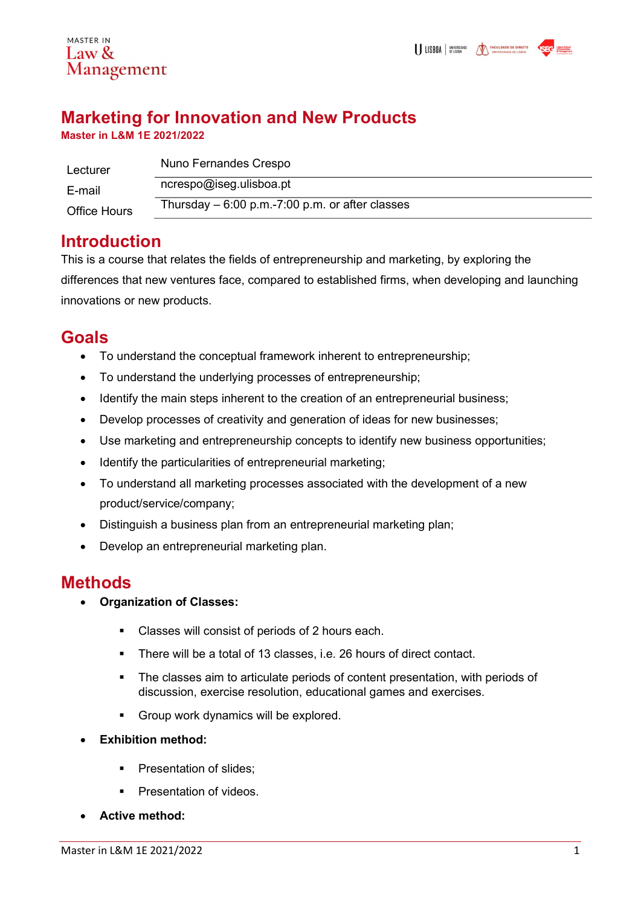

# Marketing for Innovation and New Products

Master in L&M 1E 2021/2022

| Lecturer            | Nuno Fernandes Crespo                            |
|---------------------|--------------------------------------------------|
| E-mail              | ncrespo@iseg.ulisboa.pt                          |
| <b>Office Hours</b> | Thursday $-6:00$ p.m.-7:00 p.m. or after classes |

## **Introduction**

This is a course that relates the fields of entrepreneurship and marketing, by exploring the differences that new ventures face, compared to established firms, when developing and launching innovations or new products.

## Goals

- To understand the conceptual framework inherent to entrepreneurship;
- To understand the underlying processes of entrepreneurship;
- Identify the main steps inherent to the creation of an entrepreneurial business;
- Develop processes of creativity and generation of ideas for new businesses;
- Use marketing and entrepreneurship concepts to identify new business opportunities;
- Identify the particularities of entrepreneurial marketing;
- To understand all marketing processes associated with the development of a new product/service/company;
- Distinguish a business plan from an entrepreneurial marketing plan;
- Develop an entrepreneurial marketing plan.

## Methods

- Organization of Classes:
	- Classes will consist of periods of 2 hours each.
	- There will be a total of 13 classes, i.e. 26 hours of direct contact.
	- The classes aim to articulate periods of content presentation, with periods of discussion, exercise resolution, educational games and exercises.
	- Group work dynamics will be explored.
- Exhibition method:
	- Presentation of slides;
	- **Presentation of videos.**
- Active method: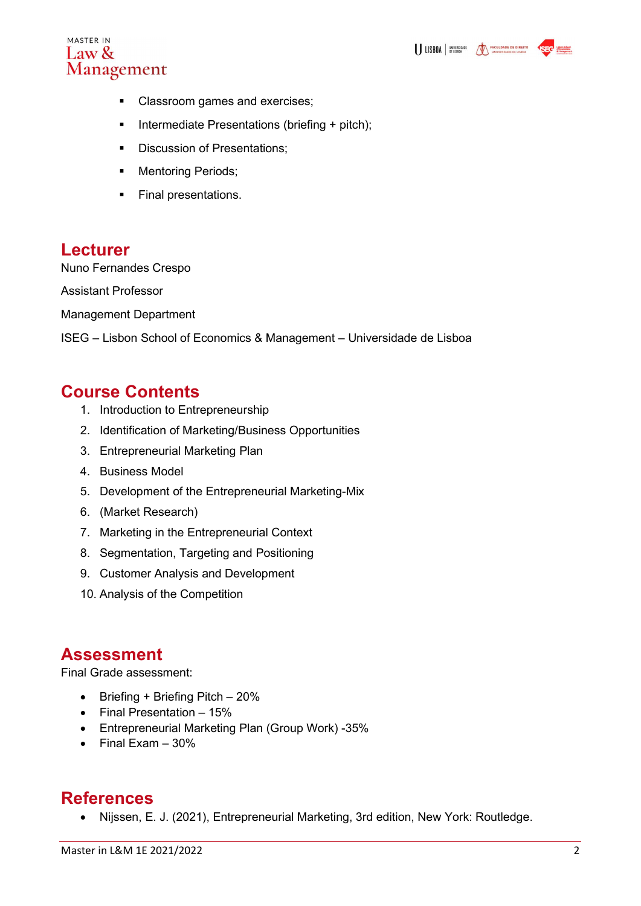

- Classroom games and exercises;
- **Intermediate Presentations (briefing + pitch);**
- Discussion of Presentations:
- **Mentoring Periods;**
- **Final presentations.**

### Lecturer

Nuno Fernandes Crespo

Assistant Professor

Management Department

ISEG – Lisbon School of Economics & Management – Universidade de Lisboa

### Course Contents

- 1. Introduction to Entrepreneurship
- 2. Identification of Marketing/Business Opportunities
- 3. Entrepreneurial Marketing Plan
- 4. Business Model
- 5. Development of the Entrepreneurial Marketing-Mix
- 6. (Market Research)
- 7. Marketing in the Entrepreneurial Context
- 8. Segmentation, Targeting and Positioning
- 9. Customer Analysis and Development
- 10. Analysis of the Competition

### Assessment

Final Grade assessment:

- $\bullet$  Briefing + Briefing Pitch 20%
- $\bullet$  Final Presentation 15%
- Entrepreneurial Marketing Plan (Group Work) -35%
- $\bullet$  Final Exam 30%

### **References**

Nijssen, E. J. (2021), Entrepreneurial Marketing, 3rd edition, New York: Routledge.